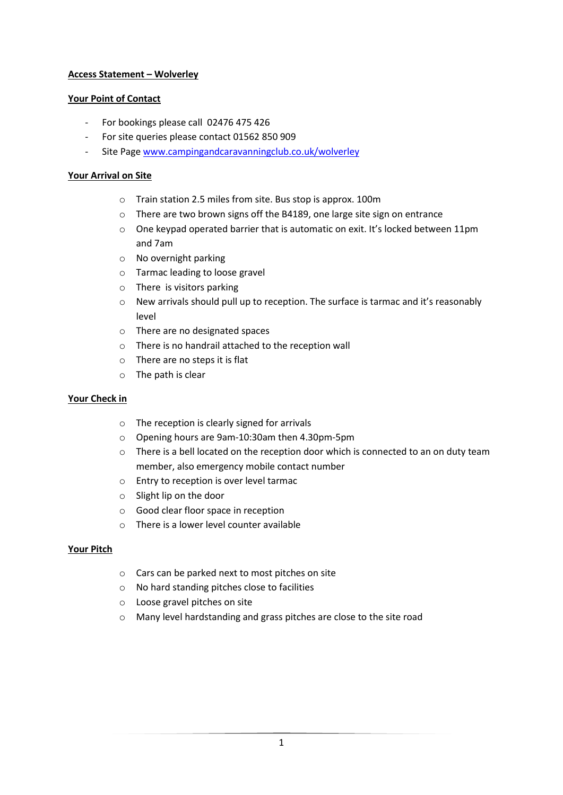# **Access Statement – Wolverley**

### **Your Point of Contact**

- For bookings please call 02476 475 426
- For site queries please contact 01562 850 909
- Site Page [www.campingandcaravanningclub.co.uk/wolverley](http://www.campingandcaravanningclub.co.uk/wolverley)

### **Your Arrival on Site**

- o Train station 2.5 miles from site. Bus stop is approx. 100m
- o There are two brown signs off the B4189, one large site sign on entrance
- $\circ$  One keypad operated barrier that is automatic on exit. It's locked between 11pm and 7am
- o No overnight parking
- o Tarmac leading to loose gravel
- o There is visitors parking
- o New arrivals should pull up to reception. The surface is tarmac and it's reasonably level
- o There are no designated spaces
- o There is no handrail attached to the reception wall
- o There are no steps it is flat
- o The path is clear

### **Your Check in**

- o The reception is clearly signed for arrivals
- o Opening hours are 9am-10:30am then 4.30pm-5pm
- o There is a bell located on the reception door which is connected to an on duty team member, also emergency mobile contact number
- o Entry to reception is over level tarmac
- o Slight lip on the door
- o Good clear floor space in reception
- $\circ$  There is a lower level counter available

### **Your Pitch**

- o Cars can be parked next to most pitches on site
- o No hard standing pitches close to facilities
- o Loose gravel pitches on site
- o Many level hardstanding and grass pitches are close to the site road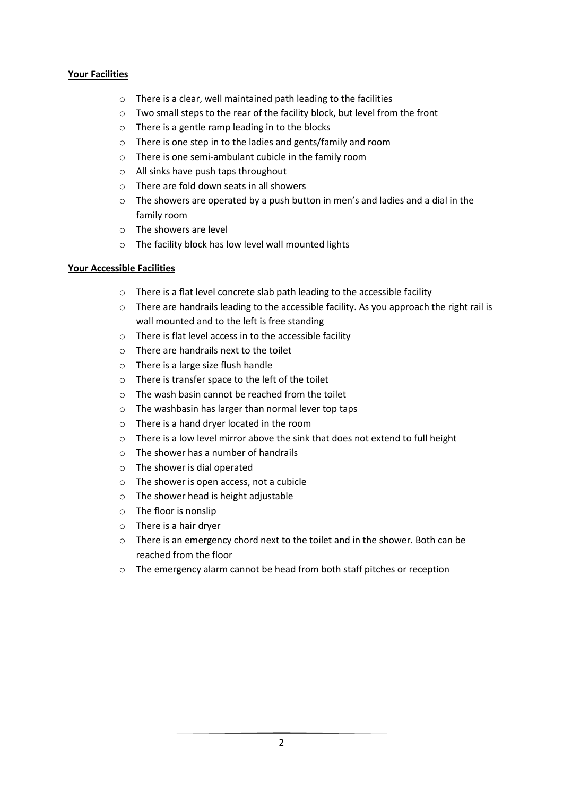# **Your Facilities**

- o There is a clear, well maintained path leading to the facilities
- o Two small steps to the rear of the facility block, but level from the front
- o There is a gentle ramp leading in to the blocks
- o There is one step in to the ladies and gents/family and room
- o There is one semi-ambulant cubicle in the family room
- o All sinks have push taps throughout
- o There are fold down seats in all showers
- o The showers are operated by a push button in men's and ladies and a dial in the family room
- o The showers are level
- o The facility block has low level wall mounted lights

# **Your Accessible Facilities**

- o There is a flat level concrete slab path leading to the accessible facility
- $\circ$  There are handrails leading to the accessible facility. As you approach the right rail is wall mounted and to the left is free standing
- o There is flat level access in to the accessible facility
- o There are handrails next to the toilet
- o There is a large size flush handle
- o There is transfer space to the left of the toilet
- o The wash basin cannot be reached from the toilet
- o The washbasin has larger than normal lever top taps
- o There is a hand dryer located in the room
- o There is a low level mirror above the sink that does not extend to full height
- o The shower has a number of handrails
- o The shower is dial operated
- o The shower is open access, not a cubicle
- o The shower head is height adjustable
- o The floor is nonslip
- o There is a hair dryer
- $\circ$  There is an emergency chord next to the toilet and in the shower. Both can be reached from the floor
- o The emergency alarm cannot be head from both staff pitches or reception